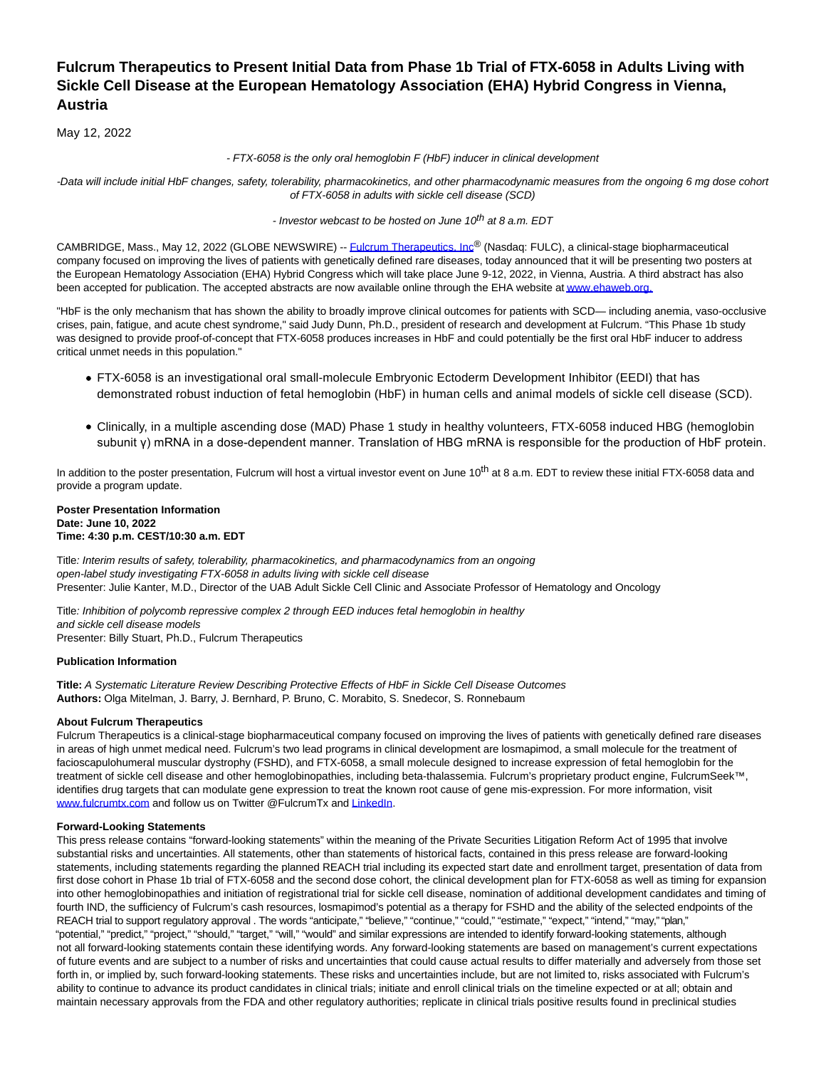# **Fulcrum Therapeutics to Present Initial Data from Phase 1b Trial of FTX-6058 in Adults Living with Sickle Cell Disease at the European Hematology Association (EHA) Hybrid Congress in Vienna, Austria**

May 12, 2022

- FTX-6058 is the only oral hemoglobin F (HbF) inducer in clinical development

-Data will include initial HbF changes, safety, tolerability, pharmacokinetics, and other pharmacodynamic measures from the ongoing 6 mg dose cohort of FTX-6058 in adults with sickle cell disease (SCD)

- Investor webcast to be hosted on June 10<sup>th</sup> at 8 a.m. EDT

CAMBRIDGE, Mass., May 12, 2022 (GLOBE NEWSWIRE) -[- Fulcrum Therapeutics, Inc](https://www.globenewswire.com/Tracker?data=9UlDZeSp70g_UMZ2fBO1aeP8jcDFjffX9LKSo9PJJzsJVDvvrsjbvTHkv_teUypY5h4GtvMX0jXGWbHkXZ1APtrYZ7oSNTms28GYMrsxdMY=)® (Nasdaq: FULC), a clinical-stage biopharmaceutical company focused on improving the lives of patients with genetically defined rare diseases, today announced that it will be presenting two posters at the European Hematology Association (EHA) Hybrid Congress which will take place June 9-12, 2022, in Vienna, Austria. A third abstract has also been accepted for publication. The accepted abstracts are now available online through the EHA website a[t www.ehaweb.org.](https://www.globenewswire.com/Tracker?data=KSqlfJOCdHBSGmq6NC5xD76NvprVQ3_7DPI2RCtK_lwsYG_V5OcGq_dMEqvT-kMAmA_s4y9UBk9d6jYPZYlUEQ==)

"HbF is the only mechanism that has shown the ability to broadly improve clinical outcomes for patients with SCD— including anemia, vaso-occlusive crises, pain, fatigue, and acute chest syndrome," said Judy Dunn, Ph.D., president of research and development at Fulcrum. "This Phase 1b study was designed to provide proof-of-concept that FTX-6058 produces increases in HbF and could potentially be the first oral HbF inducer to address critical unmet needs in this population."

- FTX-6058 is an investigational oral small-molecule Embryonic Ectoderm Development Inhibitor (EEDI) that has demonstrated robust induction of fetal hemoglobin (HbF) in human cells and animal models of sickle cell disease (SCD).
- Clinically, in a multiple ascending dose (MAD) Phase 1 study in healthy volunteers, FTX-6058 induced HBG (hemoglobin subunit γ) mRNA in a dose-dependent manner. Translation of HBG mRNA is responsible for the production of HbF protein.

In addition to the poster presentation, Fulcrum will host a virtual investor event on June 10<sup>th</sup> at 8 a.m. EDT to review these initial FTX-6058 data and provide a program update.

## **Poster Presentation Information Date: June 10, 2022 Time: 4:30 p.m. CEST/10:30 a.m. EDT**

Title: Interim results of safety, tolerability, pharmacokinetics, and pharmacodynamics from an ongoing open-label study investigating FTX-6058 in adults living with sickle cell disease Presenter: Julie Kanter, M.D., Director of the UAB Adult Sickle Cell Clinic and Associate Professor of Hematology and Oncology

Title: Inhibition of polycomb repressive complex 2 through EED induces fetal hemoglobin in healthy and sickle cell disease models Presenter: Billy Stuart, Ph.D., Fulcrum Therapeutics

## **Publication Information**

**Title:** A Systematic Literature Review Describing Protective Effects of HbF in Sickle Cell Disease Outcomes **Authors:** Olga Mitelman, J. Barry, J. Bernhard, P. Bruno, C. Morabito, S. Snedecor, S. Ronnebaum

## **About Fulcrum Therapeutics**

Fulcrum Therapeutics is a clinical-stage biopharmaceutical company focused on improving the lives of patients with genetically defined rare diseases in areas of high unmet medical need. Fulcrum's two lead programs in clinical development are losmapimod, a small molecule for the treatment of facioscapulohumeral muscular dystrophy (FSHD), and FTX-6058, a small molecule designed to increase expression of fetal hemoglobin for the treatment of sickle cell disease and other hemoglobinopathies, including beta-thalassemia. Fulcrum's proprietary product engine, FulcrumSeek™, identifies drug targets that can modulate gene expression to treat the known root cause of gene mis-expression. For more information, visit [www.fulcrumtx.com a](https://www.globenewswire.com/Tracker?data=knqqmSie-SUVUevK2um6UbBFStz0MK9bizj8V2Qja2cOVqDOvveAc7a8OUldoOQLRWa9o14Vu9ew6OAHwVSbeg==)nd follow us on Twitter @FulcrumTx and [LinkedIn.](https://www.globenewswire.com/Tracker?data=q2mFFn9LAkhYhXZj3gf9y9Z6r-Pdh7Zi_X46HC-NSjdZBg22KhAgX8rg__TE1JNJjZtOl2KYVIBV1_ffgwJhvozZ6CXdayjlspjBeOvJ64qKmcqYDfsilk6WkG9SqPaz)

## **Forward-Looking Statements**

This press release contains "forward-looking statements" within the meaning of the Private Securities Litigation Reform Act of 1995 that involve substantial risks and uncertainties. All statements, other than statements of historical facts, contained in this press release are forward-looking statements, including statements regarding the planned REACH trial including its expected start date and enrollment target, presentation of data from first dose cohort in Phase 1b trial of FTX-6058 and the second dose cohort, the clinical development plan for FTX-6058 as well as timing for expansion into other hemoglobinopathies and initiation of registrational trial for sickle cell disease, nomination of additional development candidates and timing of fourth IND, the sufficiency of Fulcrum's cash resources, losmapimod's potential as a therapy for FSHD and the ability of the selected endpoints of the REACH trial to support regulatory approval . The words "anticipate," "believe," "continue," "could," "estimate," "expect," "intend," "may," "plan," "potential," "predict," "project," "should," "target," "will," "would" and similar expressions are intended to identify forward-looking statements, although not all forward-looking statements contain these identifying words. Any forward-looking statements are based on management's current expectations of future events and are subject to a number of risks and uncertainties that could cause actual results to differ materially and adversely from those set forth in, or implied by, such forward-looking statements. These risks and uncertainties include, but are not limited to, risks associated with Fulcrum's ability to continue to advance its product candidates in clinical trials; initiate and enroll clinical trials on the timeline expected or at all; obtain and maintain necessary approvals from the FDA and other regulatory authorities; replicate in clinical trials positive results found in preclinical studies